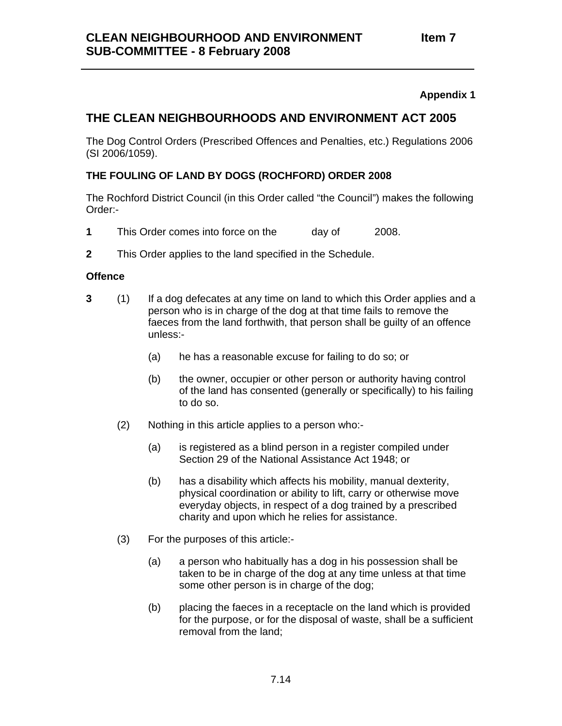### **THE CLEAN NEIGHBOURHOODS AND ENVIRONMENT ACT 2005**

The Dog Control Orders (Prescribed Offences and Penalties, etc.) Regulations 2006 (SI 2006/1059).

### **THE FOULING OF LAND BY DOGS (ROCHFORD) ORDER 2008**

The Rochford District Council (in this Order called "the Council") makes the following Order:-

- 1 This Order comes into force on the day of 2008.
- **2** This Order applies to the land specified in the Schedule.

### **Offence**

- **3** (1) If a dog defecates at any time on land to which this Order applies and a person who is in charge of the dog at that time fails to remove the faeces from the land forthwith, that person shall be guilty of an offence unless:-
	- (a) he has a reasonable excuse for failing to do so; or
	- (b) the owner, occupier or other person or authority having control of the land has consented (generally or specifically) to his failing to do so.
	- (2) Nothing in this article applies to a person who:-
		- (a) is registered as a blind person in a register compiled under Section 29 of the National Assistance Act 1948; or
		- (b) has a disability which affects his mobility, manual dexterity, physical coordination or ability to lift, carry or otherwise move everyday objects, in respect of a dog trained by a prescribed charity and upon which he relies for assistance.
	- (3) For the purposes of this article:-
		- (a) a person who habitually has a dog in his possession shall be taken to be in charge of the dog at any time unless at that time some other person is in charge of the dog;
		- (b) placing the faeces in a receptacle on the land which is provided for the purpose, or for the disposal of waste, shall be a sufficient removal from the land;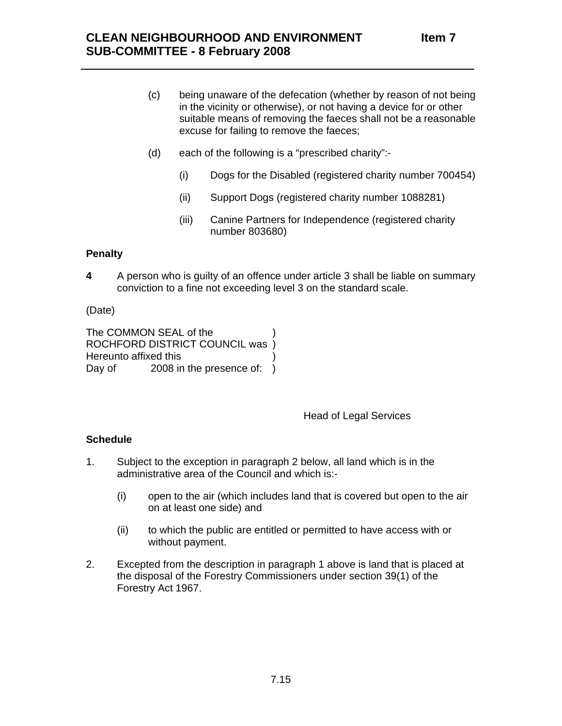- (c) being unaware of the defecation (whether by reason of not being in the vicinity or otherwise), or not having a device for or other suitable means of removing the faeces shall not be a reasonable excuse for failing to remove the faeces;
- (d) each of the following is a "prescribed charity":-
	- (i) Dogs for the Disabled (registered charity number 700454)
	- (ii) Support Dogs (registered charity number 1088281)
	- (iii) Canine Partners for Independence (registered charity number 803680)

#### **Penalty**

**4**  A person who is guilty of an offence under article 3 shall be liable on summary conviction to a fine not exceeding level 3 on the standard scale.

#### (Date)

The COMMON SEAL of the ROCHFORD DISTRICT COUNCIL was ) Hereunto affixed this ) Day of 2008 in the presence of: )

#### Head of Legal Services

### **Schedule**

- 1. Subject to the exception in paragraph 2 below, all land which is in the administrative area of the Council and which is:-
	- (i) open to the air (which includes land that is covered but open to the air on at least one side) and
	- (ii) to which the public are entitled or permitted to have access with or without payment.
- 2. Excepted from the description in paragraph 1 above is land that is placed at the disposal of the Forestry Commissioners under section 39(1) of the Forestry Act 1967.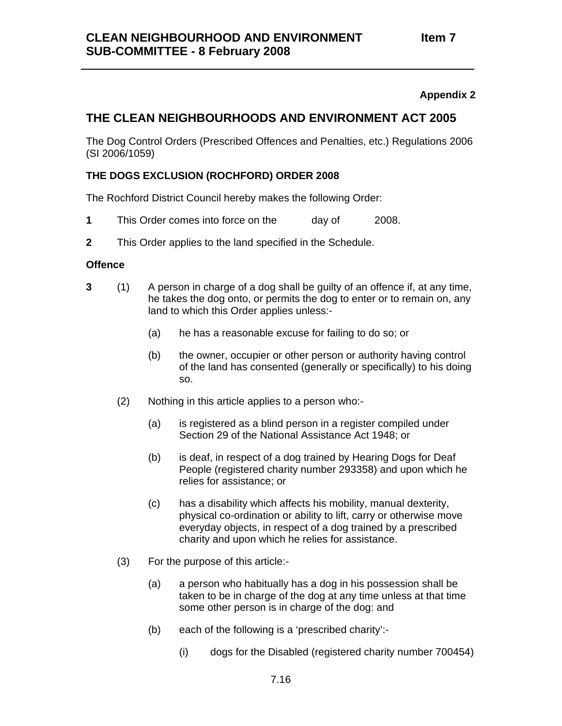### **THE CLEAN NEIGHBOURHOODS AND ENVIRONMENT ACT 2005**

The Dog Control Orders (Prescribed Offences and Penalties, etc.) Regulations 2006 (SI 2006/1059)

### **THE DOGS EXCLUSION (ROCHFORD) ORDER 2008**

The Rochford District Council hereby makes the following Order:

- **1 This Order comes into force on the** day of 2008.
- **2** This Order applies to the land specified in the Schedule.

#### **Offence**

- **3** (1) A person in charge of a dog shall be guilty of an offence if, at any time, he takes the dog onto, or permits the dog to enter or to remain on, any land to which this Order applies unless:-
	- (a) he has a reasonable excuse for failing to do so; or
	- (b) the owner, occupier or other person or authority having control of the land has consented (generally or specifically) to his doing so.
	- (2) Nothing in this article applies to a person who:-
		- (a) is registered as a blind person in a register compiled under Section 29 of the National Assistance Act 1948; or
		- (b) is deaf, in respect of a dog trained by Hearing Dogs for Deaf People (registered charity number 293358) and upon which he relies for assistance; or
		- (c) has a disability which affects his mobility, manual dexterity, physical co-ordination or ability to lift, carry or otherwise move everyday objects, in respect of a dog trained by a prescribed charity and upon which he relies for assistance.
	- (3) For the purpose of this article:-
		- (a) a person who habitually has a dog in his possession shall be taken to be in charge of the dog at any time unless at that time some other person is in charge of the dog: and
		- (b) each of the following is a 'prescribed charity':-
			- (i) dogs for the Disabled (registered charity number 700454)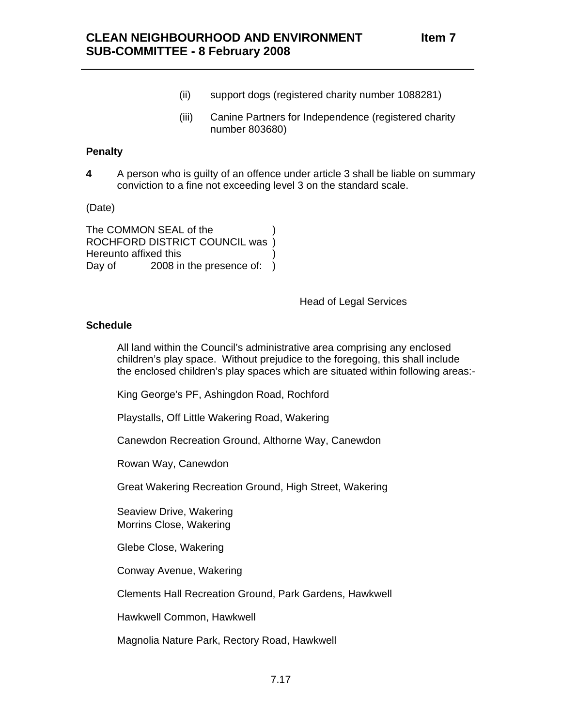- (ii) support dogs (registered charity number 1088281)
- (iii) Canine Partners for Independence (registered charity number 803680)

### **Penalty**

**4**  A person who is guilty of an offence under article 3 shall be liable on summary conviction to a fine not exceeding level 3 on the standard scale.

(Date)

The COMMON SEAL of the ) ROCHFORD DISTRICT COUNCIL was ) Hereunto affixed this ) Day of 2008 in the presence of: )

Head of Legal Services

### **Schedule**

All land within the Council's administrative area comprising any enclosed children's play space. Without prejudice to the foregoing, this shall include the enclosed children's play spaces which are situated within following areas:-

King George's PF, Ashingdon Road, Rochford

Playstalls, Off Little Wakering Road, Wakering

Canewdon Recreation Ground, Althorne Way, Canewdon

Rowan Way, Canewdon

Great Wakering Recreation Ground, High Street, Wakering

Seaview Drive, Wakering Morrins Close, Wakering

Glebe Close, Wakering

Conway Avenue, Wakering

Clements Hall Recreation Ground, Park Gardens, Hawkwell

Hawkwell Common, Hawkwell

Magnolia Nature Park, Rectory Road, Hawkwell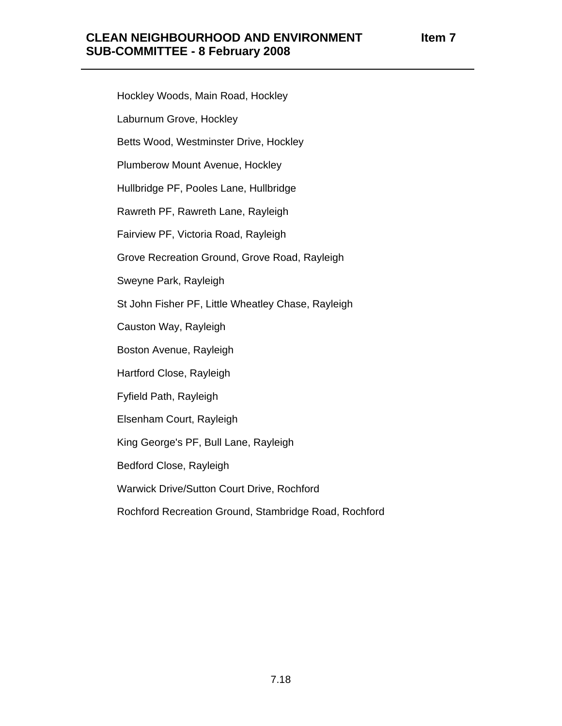Hockley Woods, Main Road, Hockley Laburnum Grove, Hockley Betts Wood, Westminster Drive, Hockley Plumberow Mount Avenue, Hockley Hullbridge PF, Pooles Lane, Hullbridge Rawreth PF, Rawreth Lane, Rayleigh Fairview PF, Victoria Road, Rayleigh Grove Recreation Ground, Grove Road, Rayleigh Sweyne Park, Rayleigh St John Fisher PF, Little Wheatley Chase, Rayleigh Causton Way, Rayleigh Boston Avenue, Rayleigh Hartford Close, Rayleigh Fyfield Path, Rayleigh Elsenham Court, Rayleigh King George's PF, Bull Lane, Rayleigh Bedford Close, Rayleigh Warwick Drive/Sutton Court Drive, Rochford Rochford Recreation Ground, Stambridge Road, Rochford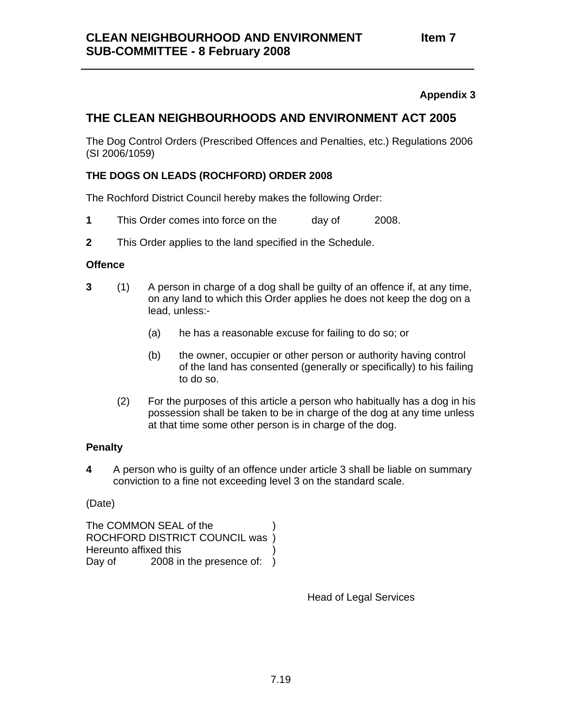### **THE CLEAN NEIGHBOURHOODS AND ENVIRONMENT ACT 2005**

The Dog Control Orders (Prescribed Offences and Penalties, etc.) Regulations 2006 (SI 2006/1059)

### **THE DOGS ON LEADS (ROCHFORD) ORDER 2008**

The Rochford District Council hereby makes the following Order:

- 1 This Order comes into force on the day of 2008.
- **2** This Order applies to the land specified in the Schedule.

### **Offence**

- **3** (1) A person in charge of a dog shall be guilty of an offence if, at any time, on any land to which this Order applies he does not keep the dog on a lead, unless:-
	- (a) he has a reasonable excuse for failing to do so; or
	- (b) the owner, occupier or other person or authority having control of the land has consented (generally or specifically) to his failing to do so.
	- (2) For the purposes of this article a person who habitually has a dog in his possession shall be taken to be in charge of the dog at any time unless at that time some other person is in charge of the dog.

### **Penalty**

**4**  A person who is guilty of an offence under article 3 shall be liable on summary conviction to a fine not exceeding level 3 on the standard scale.

(Date)

The COMMON SEAL of the ROCHFORD DISTRICT COUNCIL was ) Hereunto affixed this ) Day of 2008 in the presence of: )

Head of Legal Services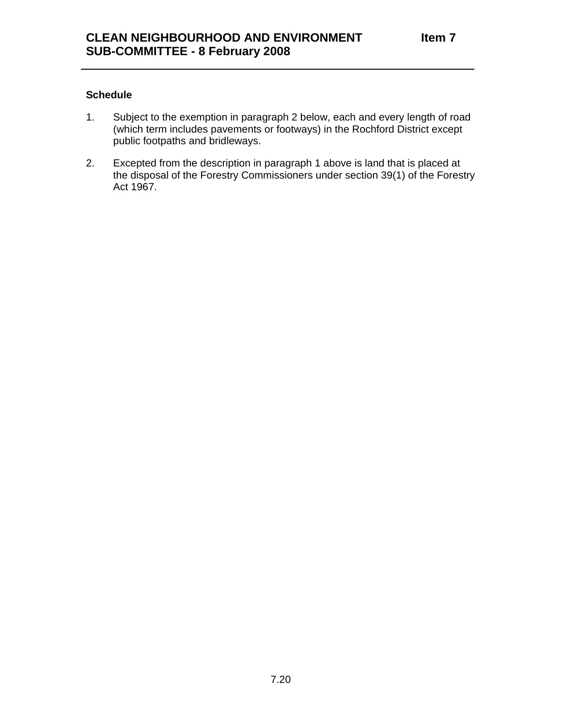### **Schedule**

- 1. Subject to the exemption in paragraph 2 below, each and every length of road (which term includes pavements or footways) in the Rochford District except public footpaths and bridleways.
- 2. Excepted from the description in paragraph 1 above is land that is placed at the disposal of the Forestry Commissioners under section 39(1) of the Forestry Act 1967.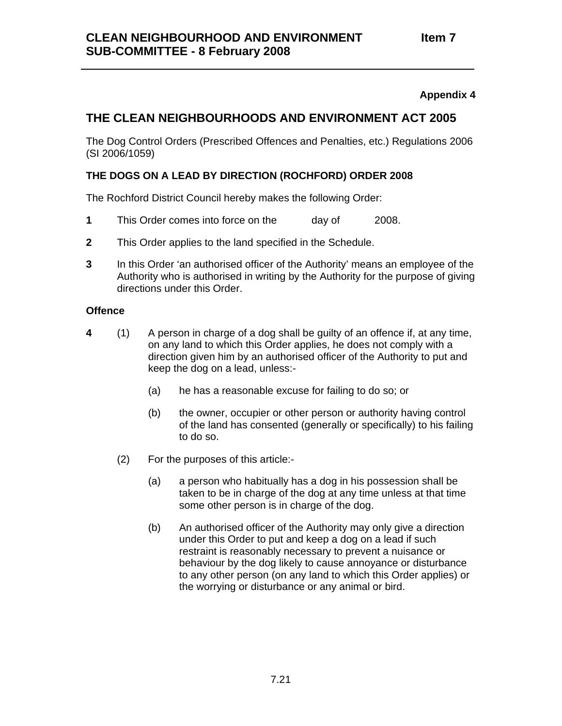### **THE CLEAN NEIGHBOURHOODS AND ENVIRONMENT ACT 2005**

The Dog Control Orders (Prescribed Offences and Penalties, etc.) Regulations 2006 (SI 2006/1059)

### **THE DOGS ON A LEAD BY DIRECTION (ROCHFORD) ORDER 2008**

The Rochford District Council hereby makes the following Order:

- 1 This Order comes into force on the day of 2008.
- **2** This Order applies to the land specified in the Schedule.
- **3** In this Order 'an authorised officer of the Authority' means an employee of the Authority who is authorised in writing by the Authority for the purpose of giving directions under this Order.

### **Offence**

- **4** (1) A person in charge of a dog shall be guilty of an offence if, at any time, on any land to which this Order applies, he does not comply with a direction given him by an authorised officer of the Authority to put and keep the dog on a lead, unless:-
	- (a) he has a reasonable excuse for failing to do so; or
	- (b) the owner, occupier or other person or authority having control of the land has consented (generally or specifically) to his failing to do so.
	- (2) For the purposes of this article:-
		- (a) a person who habitually has a dog in his possession shall be taken to be in charge of the dog at any time unless at that time some other person is in charge of the dog.
		- (b) An authorised officer of the Authority may only give a direction under this Order to put and keep a dog on a lead if such restraint is reasonably necessary to prevent a nuisance or behaviour by the dog likely to cause annoyance or disturbance to any other person (on any land to which this Order applies) or the worrying or disturbance or any animal or bird.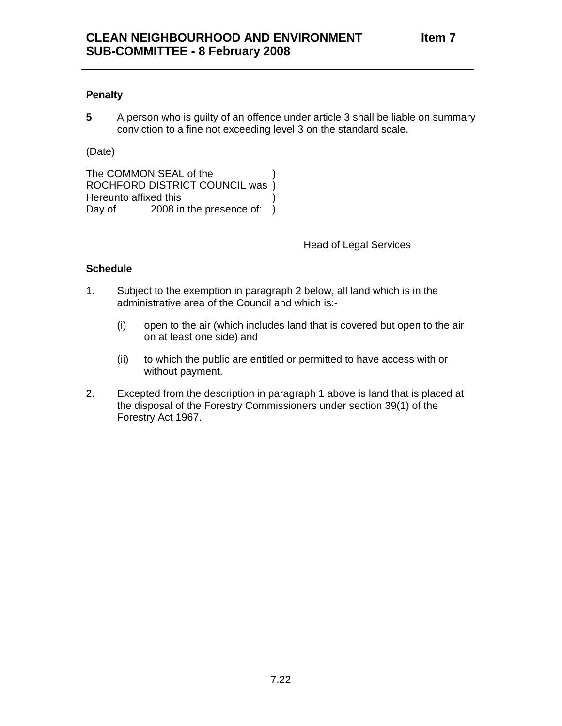### **Penalty**

**5** A person who is guilty of an offence under article 3 shall be liable on summary conviction to a fine not exceeding level 3 on the standard scale.

(Date)

The COMMON SEAL of the ROCHFORD DISTRICT COUNCIL was ) Hereunto affixed this ) Day of 2008 in the presence of: )

Head of Legal Services

### **Schedule**

- 1. Subject to the exemption in paragraph 2 below, all land which is in the administrative area of the Council and which is:-
	- (i) open to the air (which includes land that is covered but open to the air on at least one side) and
	- (ii) to which the public are entitled or permitted to have access with or without payment.
- 2. Excepted from the description in paragraph 1 above is land that is placed at the disposal of the Forestry Commissioners under section 39(1) of the Forestry Act 1967.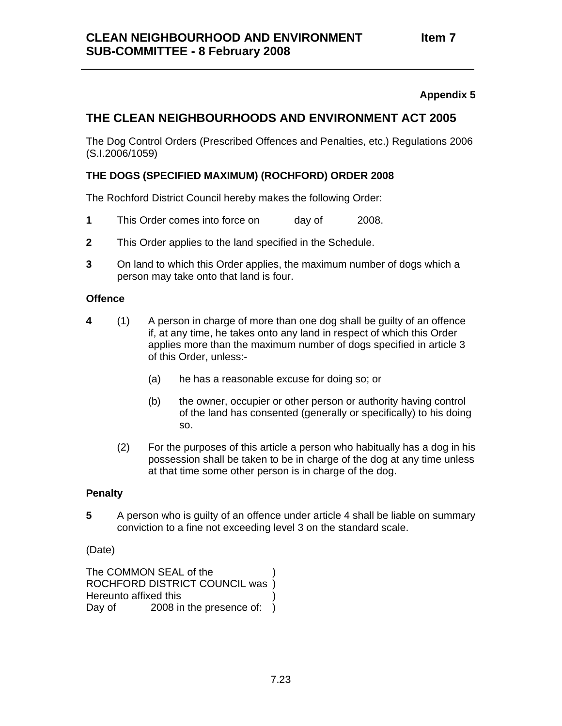### **THE CLEAN NEIGHBOURHOODS AND ENVIRONMENT ACT 2005**

The Dog Control Orders (Prescribed Offences and Penalties, etc.) Regulations 2006 (S.I.2006/1059)

### **THE DOGS (SPECIFIED MAXIMUM) (ROCHFORD) ORDER 2008**

The Rochford District Council hereby makes the following Order:

- 1 This Order comes into force on day of 2008.
- **2** This Order applies to the land specified in the Schedule.
- **3** On land to which this Order applies, the maximum number of dogs which a person may take onto that land is four.

### **Offence**

- **4** (1) A person in charge of more than one dog shall be guilty of an offence if, at any time, he takes onto any land in respect of which this Order applies more than the maximum number of dogs specified in article 3 of this Order, unless:-
	- (a) he has a reasonable excuse for doing so; or
	- (b) the owner, occupier or other person or authority having control of the land has consented (generally or specifically) to his doing so.
	- (2) For the purposes of this article a person who habitually has a dog in his possession shall be taken to be in charge of the dog at any time unless at that time some other person is in charge of the dog.

### **Penalty**

**5**  A person who is guilty of an offence under article 4 shall be liable on summary conviction to a fine not exceeding level 3 on the standard scale.

### (Date)

The COMMON SEAL of the ROCHFORD DISTRICT COUNCIL was ) Hereunto affixed this ) Day of 2008 in the presence of: )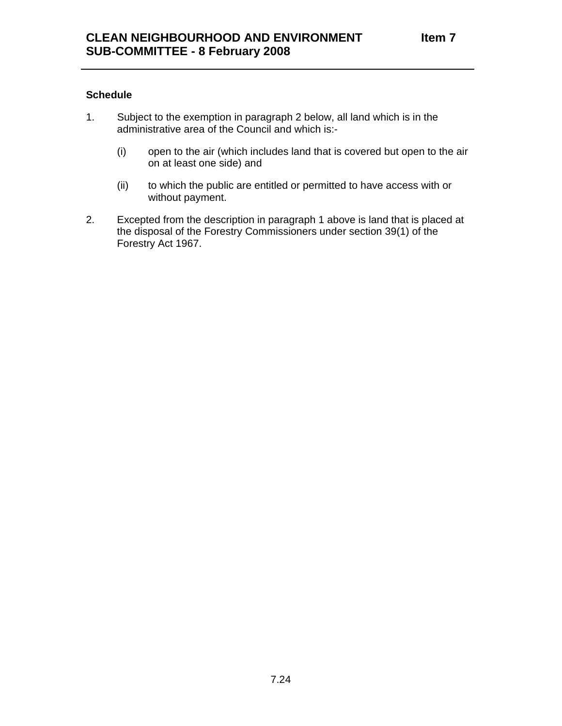### **Schedule**

- 1. Subject to the exemption in paragraph 2 below, all land which is in the administrative area of the Council and which is:-
	- (i) open to the air (which includes land that is covered but open to the air on at least one side) and
	- (ii) to which the public are entitled or permitted to have access with or without payment.
- 2. Excepted from the description in paragraph 1 above is land that is placed at the disposal of the Forestry Commissioners under section 39(1) of the Forestry Act 1967.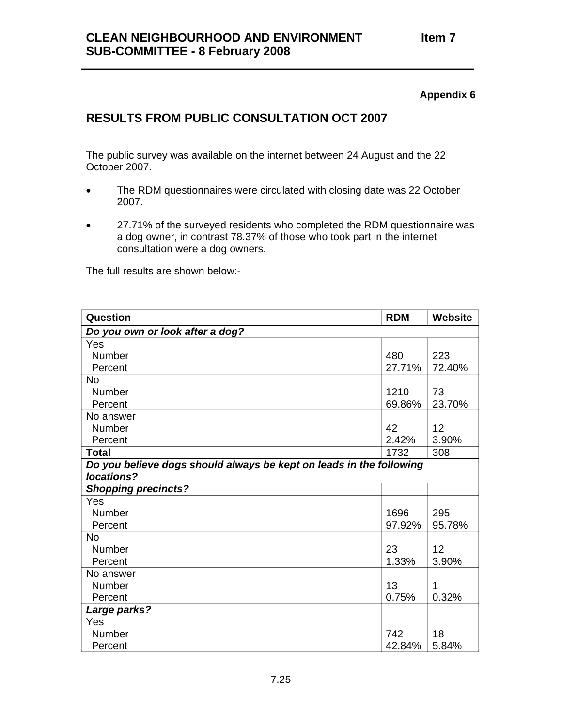# **RESULTS FROM PUBLIC CONSULTATION OCT 2007**

The public survey was available on the internet between 24 August and the 22 October 2007.

- The RDM questionnaires were circulated with closing date was 22 October 2007.
- 27.71% of the surveyed residents who completed the RDM questionnaire was a dog owner, in contrast 78.37% of those who took part in the internet consultation were a dog owners.

The full results are shown below:-

| Question                                                            | <b>RDM</b> | <b>Website</b> |
|---------------------------------------------------------------------|------------|----------------|
| Do you own or look after a dog?                                     |            |                |
| Yes                                                                 |            |                |
| <b>Number</b>                                                       | 480        | 223            |
| Percent                                                             | 27.71%     | 72.40%         |
| No                                                                  |            |                |
| Number                                                              | 1210       | 73             |
| Percent                                                             | 69.86%     | 23.70%         |
| No answer                                                           |            |                |
| <b>Number</b>                                                       | 42         | 12             |
| Percent                                                             | 2.42%      | 3.90%          |
| <b>Total</b>                                                        | 1732       | 308            |
| Do you believe dogs should always be kept on leads in the following |            |                |
| locations?                                                          |            |                |
| <b>Shopping precincts?</b>                                          |            |                |
| Yes                                                                 |            |                |
| Number                                                              | 1696       | 295            |
| Percent                                                             | 97.92%     | 95.78%         |
| <b>No</b>                                                           |            |                |
| Number                                                              | 23         | 12             |
| Percent                                                             | 1.33%      | 3.90%          |
| No answer                                                           |            |                |
| Number                                                              | 13         | 1              |
| Percent                                                             | 0.75%      | 0.32%          |
| Large parks?                                                        |            |                |
| Yes                                                                 |            |                |
| Number                                                              | 742        | 18             |
| Percent                                                             | 42.84%     | 5.84%          |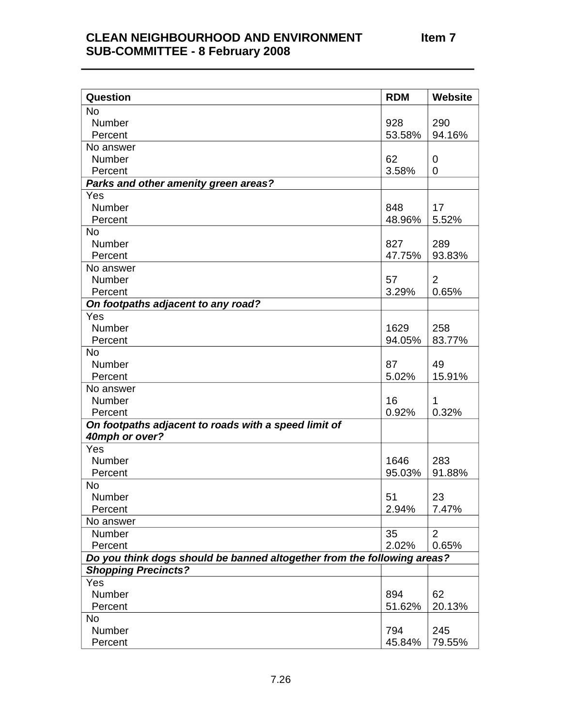| Question                                                                | <b>RDM</b> | Website        |
|-------------------------------------------------------------------------|------------|----------------|
| <b>No</b>                                                               |            |                |
| Number                                                                  | 928        | 290            |
| Percent                                                                 | 53.58%     | 94.16%         |
| No answer                                                               |            |                |
| <b>Number</b>                                                           | 62         | $\overline{0}$ |
| Percent                                                                 | 3.58%      | $\overline{0}$ |
| Parks and other amenity green areas?                                    |            |                |
| Yes                                                                     |            |                |
| Number                                                                  | 848        | 17             |
| Percent                                                                 | 48.96%     | 5.52%          |
| <b>No</b>                                                               |            |                |
| Number                                                                  | 827        | 289            |
| Percent                                                                 | 47.75%     | 93.83%         |
| No answer                                                               |            |                |
| Number                                                                  | 57         | $\overline{2}$ |
| Percent                                                                 | 3.29%      | 0.65%          |
| On footpaths adjacent to any road?                                      |            |                |
| Yes                                                                     |            |                |
| Number                                                                  | 1629       | 258            |
| Percent                                                                 | 94.05%     | 83.77%         |
| No                                                                      |            |                |
| Number                                                                  | 87         | 49             |
| Percent                                                                 | 5.02%      | 15.91%         |
| No answer                                                               |            |                |
| Number                                                                  | 16         | 1              |
| Percent                                                                 | 0.92%      | 0.32%          |
| On footpaths adjacent to roads with a speed limit of<br>40mph or over?  |            |                |
| Yes                                                                     |            |                |
| Number                                                                  | 1646       | 283            |
| Percent                                                                 | 95.03%     | 91.88%         |
| <b>No</b>                                                               |            |                |
| Number                                                                  | 51         | 23             |
| Percent                                                                 | 2.94%      | 7.47%          |
| No answer                                                               |            |                |
| Number                                                                  | 35         | 2              |
| Percent                                                                 | 2.02%      | 0.65%          |
| Do you think dogs should be banned altogether from the following areas? |            |                |
| <b>Shopping Precincts?</b>                                              |            |                |
| Yes                                                                     |            |                |
| Number                                                                  | 894        | 62             |
| Percent                                                                 | 51.62%     | 20.13%         |
| No                                                                      |            |                |
| Number                                                                  | 794        | 245            |
| Percent                                                                 | 45.84%     | 79.55%         |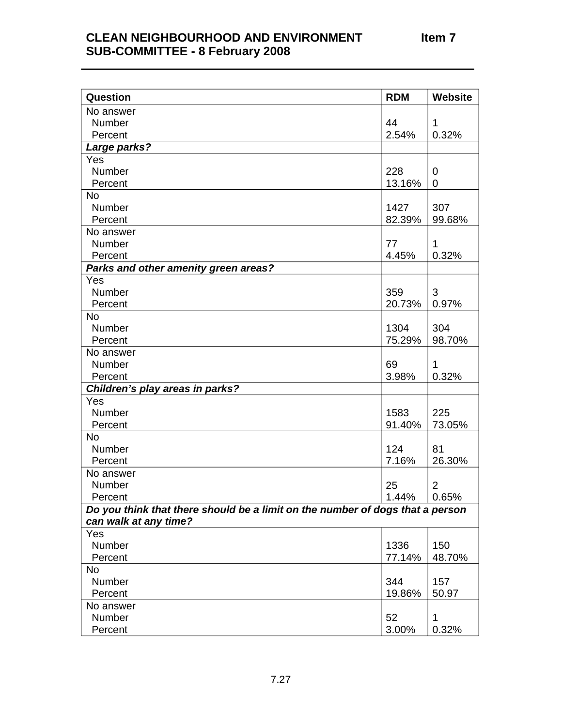| Question                                                                      | <b>RDM</b> | <b>Website</b> |
|-------------------------------------------------------------------------------|------------|----------------|
| No answer                                                                     |            |                |
| Number                                                                        | 44         | 1              |
| Percent                                                                       | 2.54%      | 0.32%          |
| Large parks?                                                                  |            |                |
| Yes                                                                           |            |                |
| Number                                                                        | 228        | 0              |
| Percent                                                                       | 13.16%     | 0              |
| <b>No</b>                                                                     |            |                |
| Number                                                                        | 1427       | 307            |
| Percent                                                                       | 82.39%     | 99.68%         |
| No answer                                                                     |            |                |
| Number                                                                        | 77         | 1              |
| Percent                                                                       | 4.45%      | 0.32%          |
| Parks and other amenity green areas?                                          |            |                |
| Yes                                                                           |            |                |
| Number                                                                        | 359        | 3              |
| Percent                                                                       | 20.73%     | 0.97%          |
| <b>No</b>                                                                     |            |                |
| Number                                                                        | 1304       | 304            |
| Percent                                                                       | 75.29%     | 98.70%         |
| No answer                                                                     |            |                |
| Number                                                                        | 69         | 1              |
| Percent                                                                       | 3.98%      | 0.32%          |
| Children's play areas in parks?                                               |            |                |
| Yes                                                                           |            |                |
| <b>Number</b>                                                                 | 1583       | 225            |
| Percent                                                                       | 91.40%     | 73.05%         |
| <b>No</b>                                                                     | 124        |                |
| Number                                                                        |            | 81             |
| Percent                                                                       | 7.16%      | 26.30%         |
| No answer<br>Number                                                           | 25         | 2              |
| Percent                                                                       | 1.44%      | 0.65%          |
| Do you think that there should be a limit on the number of dogs that a person |            |                |
| can walk at any time?                                                         |            |                |
| Yes                                                                           |            |                |
| Number                                                                        | 1336       | 150            |
| Percent                                                                       | 77.14%     | 48.70%         |
| No                                                                            |            |                |
| Number                                                                        | 344        | 157            |
| Percent                                                                       | 19.86%     | 50.97          |
| No answer                                                                     |            |                |
| Number                                                                        | 52         | 1              |
| Percent                                                                       | 3.00%      | 0.32%          |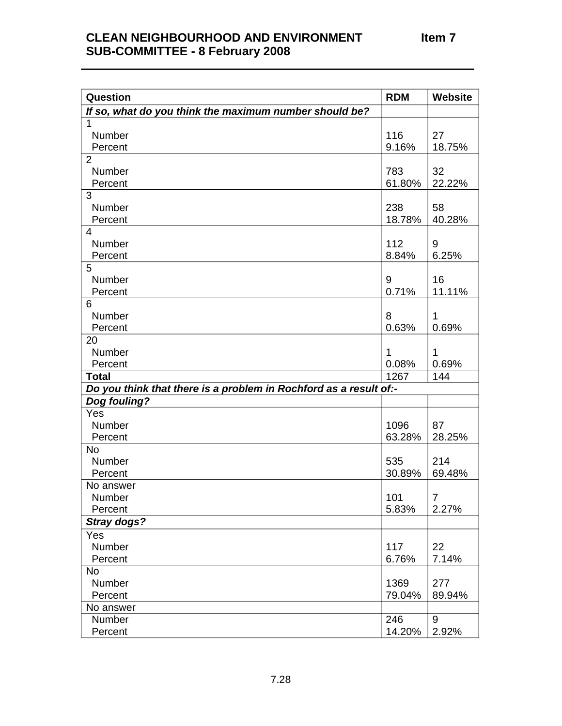| <b>Question</b>                                                   | <b>RDM</b> | Website        |
|-------------------------------------------------------------------|------------|----------------|
| If so, what do you think the maximum number should be?            |            |                |
| 1                                                                 |            |                |
| Number                                                            | 116        | 27             |
| Percent                                                           | 9.16%      | 18.75%         |
| $\overline{2}$                                                    |            |                |
| Number                                                            | 783        | 32             |
| Percent                                                           | 61.80%     | 22.22%         |
| 3                                                                 |            |                |
| Number                                                            | 238        | 58             |
| Percent                                                           | 18.78%     | 40.28%         |
| 4                                                                 |            |                |
| Number                                                            | 112        | 9              |
| Percent                                                           | 8.84%      | 6.25%          |
| 5                                                                 |            |                |
| Number                                                            | 9          | 16             |
| Percent                                                           | 0.71%      | 11.11%         |
| 6                                                                 |            |                |
| Number                                                            | 8          | $\mathbf 1$    |
| Percent                                                           | 0.63%      | 0.69%          |
| 20                                                                |            |                |
| Number                                                            | 1          | 1              |
| Percent                                                           | 0.08%      | 0.69%          |
| <b>Total</b>                                                      | 1267       | 144            |
| Do you think that there is a problem in Rochford as a result of:- |            |                |
| Dog fouling?<br>Yes                                               |            |                |
| Number                                                            | 1096       | 87             |
| Percent                                                           | 63.28%     | 28.25%         |
| <b>No</b>                                                         |            |                |
| Number                                                            | 535        | 214            |
| Percent                                                           | 30.89%     | 69.48%         |
| No answer                                                         |            |                |
| Number                                                            | 101        | $\overline{7}$ |
| Percent                                                           | 5.83%      | 2.27%          |
| Stray dogs?                                                       |            |                |
| Yes                                                               |            |                |
| Number                                                            | 117        | 22             |
| Percent                                                           | 6.76%      | 7.14%          |
| <b>No</b>                                                         |            |                |
| Number                                                            | 1369       | 277            |
| Percent                                                           | 79.04%     | 89.94%         |
| No answer                                                         |            |                |
| Number                                                            | 246        | 9              |
| Percent                                                           | 14.20%     | 2.92%          |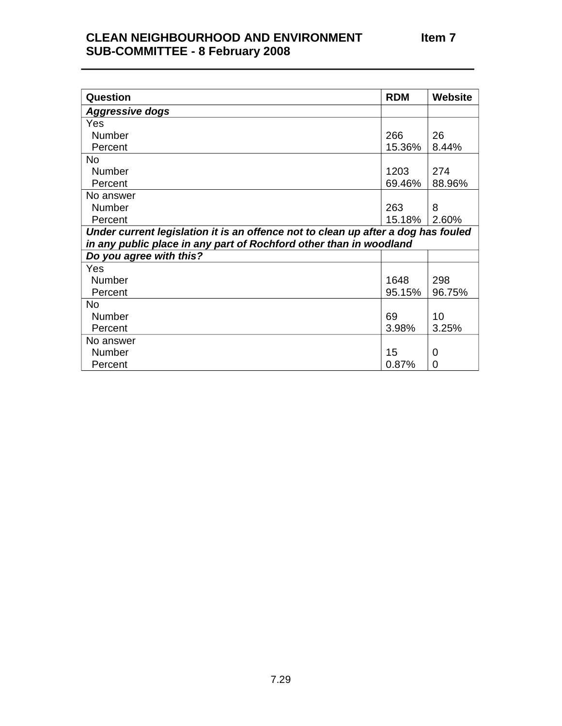| Question                                                                          | <b>RDM</b> | <b>Website</b> |
|-----------------------------------------------------------------------------------|------------|----------------|
| <b>Aggressive dogs</b>                                                            |            |                |
| Yes                                                                               |            |                |
| <b>Number</b>                                                                     | 266        | 26             |
| Percent                                                                           | 15.36%     | 8.44%          |
| No.                                                                               |            |                |
| <b>Number</b>                                                                     | 1203       | 274            |
| Percent                                                                           | 69.46%     | 88.96%         |
| No answer                                                                         |            |                |
| <b>Number</b>                                                                     | 263        | 8              |
| Percent                                                                           | 15.18%     | 2.60%          |
| Under current legislation it is an offence not to clean up after a dog has fouled |            |                |
| in any public place in any part of Rochford other than in woodland                |            |                |
| Do you agree with this?                                                           |            |                |
| Yes                                                                               |            |                |
| <b>Number</b>                                                                     | 1648       | 298            |
| Percent                                                                           | 95.15%     | 96.75%         |
| No                                                                                |            |                |
| <b>Number</b>                                                                     | 69         | 10             |
| Percent                                                                           | 3.98%      | 3.25%          |
| No answer                                                                         |            |                |
| <b>Number</b>                                                                     | 15         | 0              |
| Percent                                                                           | 0.87%      | 0              |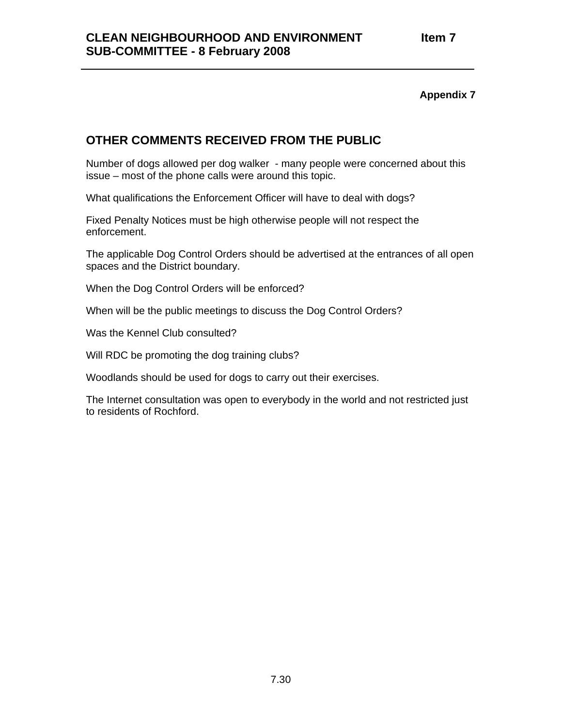## **OTHER COMMENTS RECEIVED FROM THE PUBLIC**

Number of dogs allowed per dog walker - many people were concerned about this issue – most of the phone calls were around this topic.

What qualifications the Enforcement Officer will have to deal with dogs?

Fixed Penalty Notices must be high otherwise people will not respect the enforcement.

The applicable Dog Control Orders should be advertised at the entrances of all open spaces and the District boundary.

When the Dog Control Orders will be enforced?

When will be the public meetings to discuss the Dog Control Orders?

Was the Kennel Club consulted?

Will RDC be promoting the dog training clubs?

Woodlands should be used for dogs to carry out their exercises.

The Internet consultation was open to everybody in the world and not restricted just to residents of Rochford.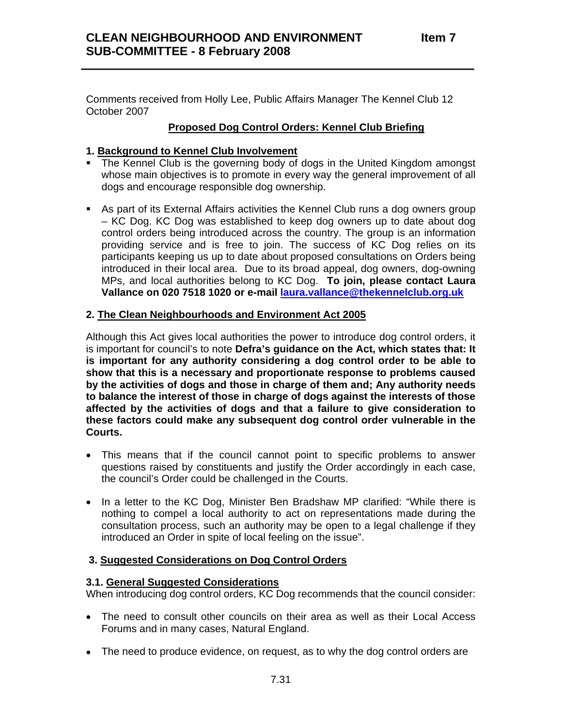Comments received from Holly Lee, Public Affairs Manager The Kennel Club 12 October 2007

### **Proposed Dog Control Orders: Kennel Club Briefing**

### **1. Background to Kennel Club Involvement**

- The Kennel Club is the governing body of dogs in the United Kingdom amongst whose main objectives is to promote in every way the general improvement of all dogs and encourage responsible dog ownership.
- As part of its External Affairs activities the Kennel Club runs a dog owners group – KC Dog. KC Dog was established to keep dog owners up to date about dog control orders being introduced across the country. The group is an information providing service and is free to join. The success of KC Dog relies on its participants keeping us up to date about proposed consultations on Orders being introduced in their local area. Due to its broad appeal, dog owners, dog-owning MPs, and local authorities belong to KC Dog. **To join, please contact Laura Vallance on 020 7518 1020 or e-mail laura.vallance@thekennelclub.org.uk**

### **2. The Clean Neighbourhoods and Environment Act 2005**

Although this Act gives local authorities the power to introduce dog control orders, it is important for council's to note **Defra's guidance on the Act, which states that: It is important for any authority considering a dog control order to be able to show that this is a necessary and proportionate response to problems caused by the activities of dogs and those in charge of them and; Any authority needs to balance the interest of those in charge of dogs against the interests of those affected by the activities of dogs and that a failure to give consideration to these factors could make any subsequent dog control order vulnerable in the Courts.** 

- This means that if the council cannot point to specific problems to answer questions raised by constituents and justify the Order accordingly in each case, the council's Order could be challenged in the Courts.
- In a letter to the KC Dog, Minister Ben Bradshaw MP clarified: "While there is nothing to compel a local authority to act on representations made during the consultation process, such an authority may be open to a legal challenge if they introduced an Order in spite of local feeling on the issue".

### **3. Suggested Considerations on Dog Control Orders**

### **3.1. General Suggested Considerations**

When introducing dog control orders, KC Dog recommends that the council consider:

- The need to consult other councils on their area as well as their Local Access Forums and in many cases, Natural England.
- The need to produce evidence, on request, as to why the dog control orders are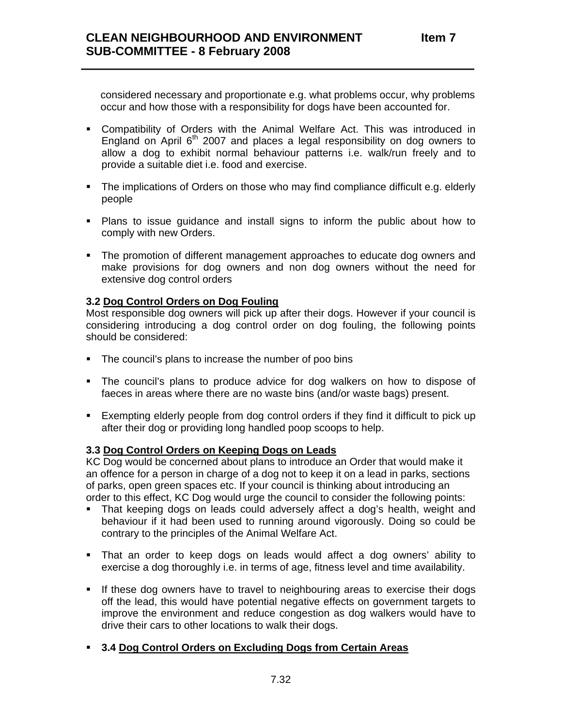considered necessary and proportionate e.g. what problems occur, why problems occur and how those with a responsibility for dogs have been accounted for.

- Compatibility of Orders with the Animal Welfare Act. This was introduced in England on April  $6<sup>th</sup>$  2007 and places a legal responsibility on dog owners to allow a dog to exhibit normal behaviour patterns i.e. walk/run freely and to provide a suitable diet i.e. food and exercise.
- The implications of Orders on those who may find compliance difficult e.g. elderly people
- Plans to issue guidance and install signs to inform the public about how to comply with new Orders.
- The promotion of different management approaches to educate dog owners and make provisions for dog owners and non dog owners without the need for extensive dog control orders

### **3.2 Dog Control Orders on Dog Fouling**

Most responsible dog owners will pick up after their dogs. However if your council is considering introducing a dog control order on dog fouling, the following points should be considered:

- The council's plans to increase the number of poo bins
- The council's plans to produce advice for dog walkers on how to dispose of faeces in areas where there are no waste bins (and/or waste bags) present.
- Exempting elderly people from dog control orders if they find it difficult to pick up after their dog or providing long handled poop scoops to help.

#### **3.3 Dog Control Orders on Keeping Dogs on Leads**

KC Dog would be concerned about plans to introduce an Order that would make it an offence for a person in charge of a dog not to keep it on a lead in parks, sections of parks, open green spaces etc. If your council is thinking about introducing an order to this effect, KC Dog would urge the council to consider the following points:

- That keeping dogs on leads could adversely affect a dog's health, weight and behaviour if it had been used to running around vigorously. Doing so could be contrary to the principles of the Animal Welfare Act.
- That an order to keep dogs on leads would affect a dog owners' ability to exercise a dog thoroughly i.e. in terms of age, fitness level and time availability.
- If these dog owners have to travel to neighbouring areas to exercise their dogs off the lead, this would have potential negative effects on government targets to improve the environment and reduce congestion as dog walkers would have to drive their cars to other locations to walk their dogs.
- **3.4 Dog Control Orders on Excluding Dogs from Certain Areas**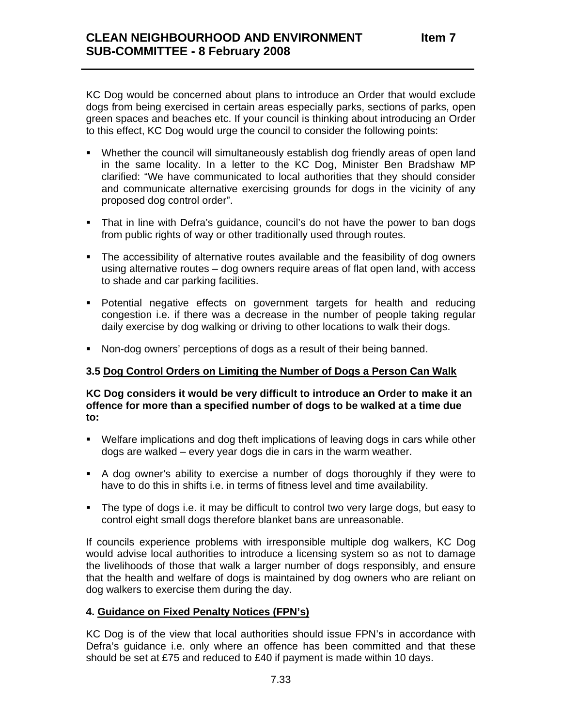KC Dog would be concerned about plans to introduce an Order that would exclude dogs from being exercised in certain areas especially parks, sections of parks, open green spaces and beaches etc. If your council is thinking about introducing an Order to this effect, KC Dog would urge the council to consider the following points:

- Whether the council will simultaneously establish dog friendly areas of open land in the same locality. In a letter to the KC Dog, Minister Ben Bradshaw MP clarified: "We have communicated to local authorities that they should consider and communicate alternative exercising grounds for dogs in the vicinity of any proposed dog control order".
- That in line with Defra's guidance, council's do not have the power to ban dogs from public rights of way or other traditionally used through routes.
- The accessibility of alternative routes available and the feasibility of dog owners using alternative routes – dog owners require areas of flat open land, with access to shade and car parking facilities.
- Potential negative effects on government targets for health and reducing congestion i.e. if there was a decrease in the number of people taking regular daily exercise by dog walking or driving to other locations to walk their dogs.
- Non-dog owners' perceptions of dogs as a result of their being banned.

### **3.5 Dog Control Orders on Limiting the Number of Dogs a Person Can Walk**

**KC Dog considers it would be very difficult to introduce an Order to make it an offence for more than a specified number of dogs to be walked at a time due to:** 

- Welfare implications and dog theft implications of leaving dogs in cars while other dogs are walked – every year dogs die in cars in the warm weather.
- A dog owner's ability to exercise a number of dogs thoroughly if they were to have to do this in shifts i.e. in terms of fitness level and time availability.
- The type of dogs i.e. it may be difficult to control two very large dogs, but easy to control eight small dogs therefore blanket bans are unreasonable.

If councils experience problems with irresponsible multiple dog walkers, KC Dog would advise local authorities to introduce a licensing system so as not to damage the livelihoods of those that walk a larger number of dogs responsibly, and ensure that the health and welfare of dogs is maintained by dog owners who are reliant on dog walkers to exercise them during the day.

### **4. Guidance on Fixed Penalty Notices (FPN's)**

KC Dog is of the view that local authorities should issue FPN's in accordance with Defra's guidance i.e. only where an offence has been committed and that these should be set at £75 and reduced to £40 if payment is made within 10 days.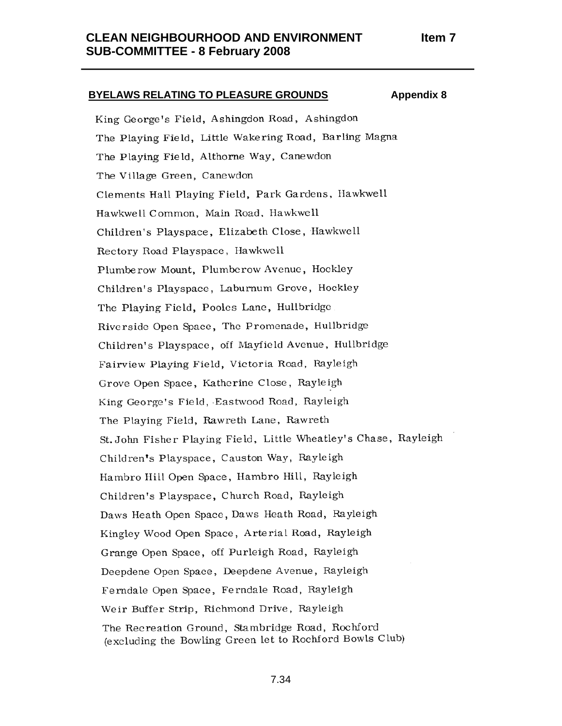# **BYELAWS RELATING TO PLEASURE GROUNDS Appendix 8** King George's Field, Ashingdon Road, Ashingdon The Playing Field, Little Wakering Road, Barling Magna The Playing Field, Althorne Way, Canewdon The Village Green, Canewdon Clements Hall Playing Field, Park Gardens, Hawkwell Hawkwell Common, Main Road, Hawkwell Children's Playspace, Elizabeth Close, Hawkwell Rectory Road Playspace, Hawkwell Plumberow Mount, Plumberow Avenue, Hockley Children's Playspace, Laburnum Grove, Hockley The Playing Field, Pooles Lane, Hullbridge Riverside Open Space, The Promenade, Hullbridge Children's Playspace, off Mayfield Avenue, Hullbridge Fairview Playing Field, Victoria Road, Rayleigh Grove Open Space, Katherine Close, Rayleigh King George's Field, Eastwood Road, Rayleigh The Playing Field, Rawreth Lane, Rawreth St. John Fisher Playing Field, Little Wheatley's Chase, Rayleigh Children's Playspace, Causton Way, Rayleigh Hambro Hill Open Space, Hambro Hill, Rayleigh Children's Playspace, Church Road, Rayleigh Daws Heath Open Space, Daws Heath Road, Rayleigh Kingley Wood Open Space, Arterial Road, Rayleigh Grange Open Space, off Purleigh Road, Rayleigh Deepdene Open Space, Deepdene Avenue, Rayleigh Ferndale Open Space, Ferndale Road, Rayleigh Weir Buffer Strip, Richmond Drive, Rayleigh The Recreation Ground, Stambridge Road, Rochford (excluding the Bowling Green let to Rochford Bowls Club)

7.34